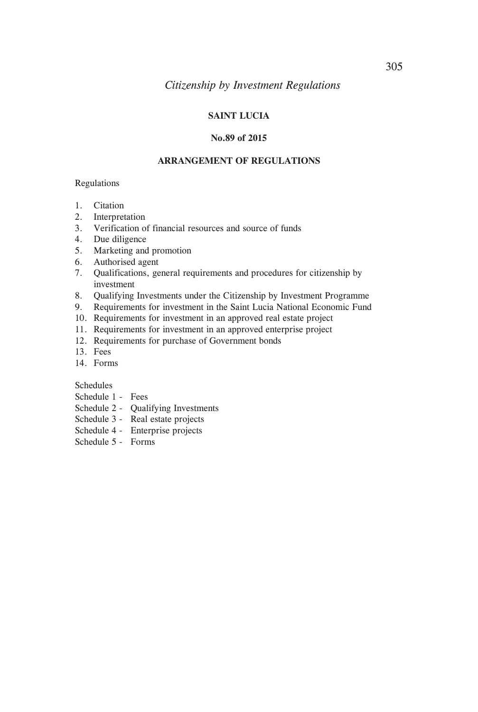# **SAINT LUCIA**

#### **No.89 of 2015**

### **ARRANGEMENT OF REGULATIONS**

### Regulations

- 1. Citation
- 2. Interpretation
- 3. Verification of financial resources and source of funds
- 4. Due diligence
- 5. Marketing and promotion
- 6. Authorised agent
- 7. Qualifications, general requirements and procedures for citizenship by investment
- 8. Qualifying Investments under the Citizenship by Investment Programme
- 9. Requirements for investment in the Saint Lucia National Economic Fund
- 10. Requirements for investment in an approved real estate project
- 11. Requirements for investment in an approved enterprise project
- 12. Requirements for purchase of Government bonds
- 13. Fees
- 14. Forms

Schedules

- Schedule 1 Fees
- Schedule 2 Qualifying Investments
- Schedule 3 Real estate projects
- Schedule 4 Enterprise projects
- Schedule 5 Forms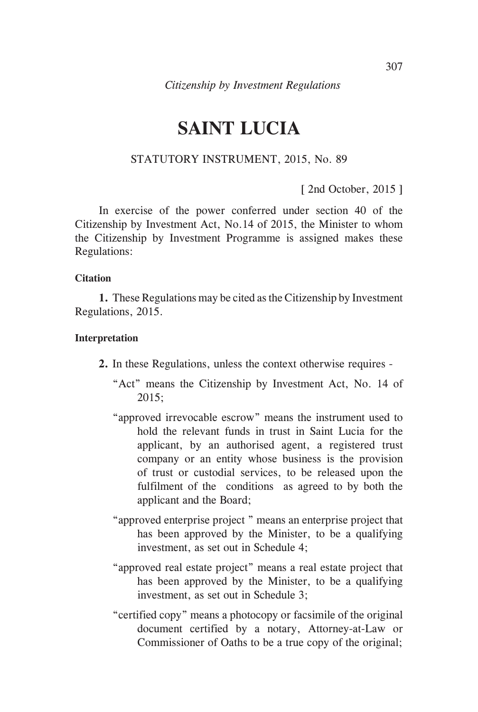# **SAINT LUCIA**

# STATUTORY INSTRUMENT, 2015, No. 89

[ 2nd October, 2015 ]

In exercise of the power conferred under section 40 of the Citizenship by Investment Act, No.14 of 2015, the Minister to whom the Citizenship by Investment Programme is assigned makes these Regulations:

### **Citation**

**1.** These Regulations may be cited as the Citizenship by Investment Regulations, 2015.

### **Interpretation**

- **2.** In these Regulations, unless the context otherwise requires
	- "Act" means the Citizenship by Investment Act, No. 14 of 2015;
	- "approved irrevocable escrow" means the instrument used to hold the relevant funds in trust in Saint Lucia for the applicant, by an authorised agent, a registered trust company or an entity whose business is the provision of trust or custodial services, to be released upon the fulfilment of the conditions as agreed to by both the applicant and the Board;
	- "approved enterprise project " means an enterprise project that has been approved by the Minister, to be a qualifying investment, as set out in Schedule 4;
	- "approved real estate project" means a real estate project that has been approved by the Minister, to be a qualifying investment, as set out in Schedule 3;
	- "certified copy" means a photocopy or facsimile of the original document certified by a notary, Attorney-at-Law or Commissioner of Oaths to be a true copy of the original;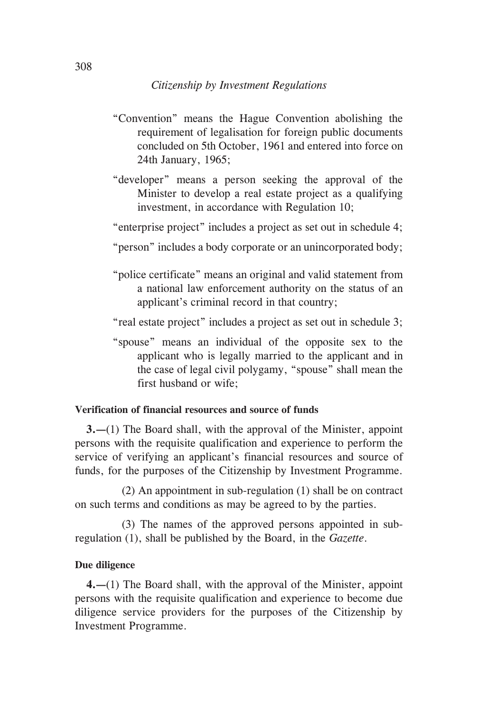- "Convention" means the Hague Convention abolishing the requirement of legalisation for foreign public documents concluded on 5th October, 1961 and entered into force on 24th January, 1965;
- "developer" means a person seeking the approval of the Minister to develop a real estate project as a qualifying investment, in accordance with Regulation 10;
- "enterprise project" includes a project as set out in schedule 4;
- "person" includes a body corporate or an unincorporated body;
- "police certificate" means an original and valid statement from a national law enforcement authority on the status of an applicant's criminal record in that country;
- "real estate project" includes a project as set out in schedule 3;
- "spouse" means an individual of the opposite sex to the applicant who is legally married to the applicant and in the case of legal civil polygamy, "spouse" shall mean the first husband or wife;

# **Verification of financial resources and source of funds**

**3.—**(1) The Board shall, with the approval of the Minister, appoint persons with the requisite qualification and experience to perform the service of verifying an applicant's financial resources and source of funds, for the purposes of the Citizenship by Investment Programme.

 (2) An appointment in sub-regulation (1) shall be on contract on such terms and conditions as may be agreed to by the parties.

 (3) The names of the approved persons appointed in subregulation (1), shall be published by the Board, in the *Gazette*.

### **Due diligence**

**4.—**(1) The Board shall, with the approval of the Minister, appoint persons with the requisite qualification and experience to become due diligence service providers for the purposes of the Citizenship by Investment Programme.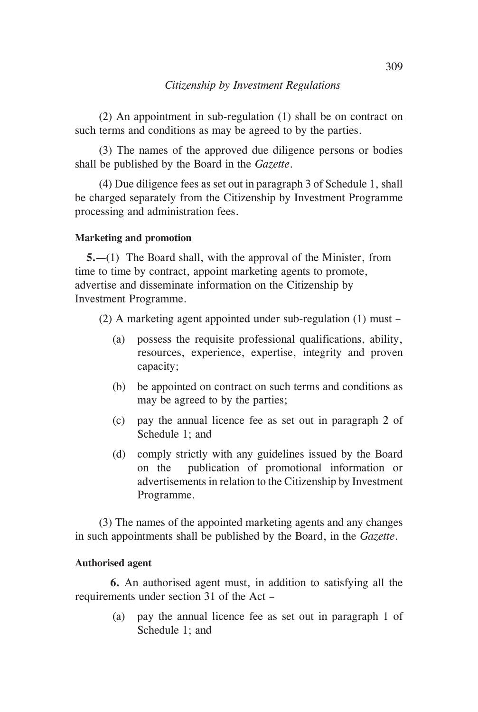(2) An appointment in sub-regulation (1) shall be on contract on such terms and conditions as may be agreed to by the parties.

(3) The names of the approved due diligence persons or bodies shall be published by the Board in the *Gazette*.

(4) Due diligence fees as set out in paragraph 3 of Schedule 1, shall be charged separately from the Citizenship by Investment Programme processing and administration fees.

# **Marketing and promotion**

**5.—**(1) The Board shall, with the approval of the Minister, from time to time by contract, appoint marketing agents to promote, advertise and disseminate information on the Citizenship by Investment Programme.

(2) A marketing agent appointed under sub-regulation (1) must –

- (a) possess the requisite professional qualifications, ability, resources, experience, expertise, integrity and proven capacity;
- (b) be appointed on contract on such terms and conditions as may be agreed to by the parties;
- (c) pay the annual licence fee as set out in paragraph 2 of Schedule 1; and
- (d) comply strictly with any guidelines issued by the Board on the publication of promotional information or advertisements in relation to the Citizenship by Investment Programme.

(3) The names of the appointed marketing agents and any changes in such appointments shall be published by the Board, in the *Gazette*.

# **Authorised agent**

**6.** An authorised agent must, in addition to satisfying all the requirements under section 31 of the Act –

> (a) pay the annual licence fee as set out in paragraph 1 of Schedule 1; and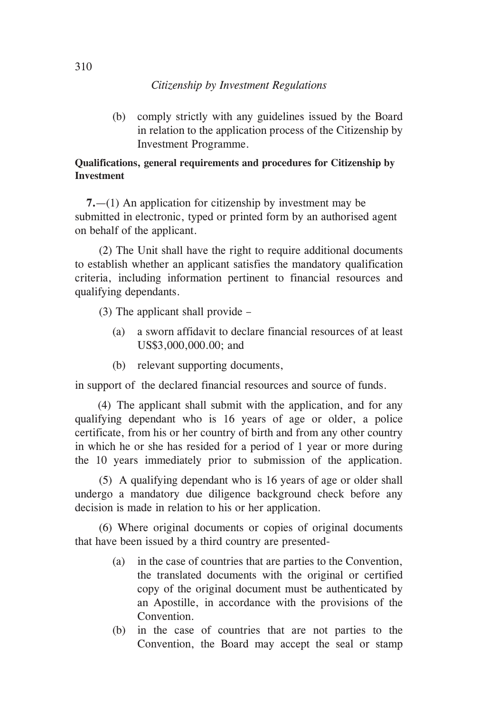(b) comply strictly with any guidelines issued by the Board in relation to the application process of the Citizenship by Investment Programme.

# **Qualifications, general requirements and procedures for Citizenship by Investment**

**7.**—(1) An application for citizenship by investment may be submitted in electronic, typed or printed form by an authorised agent on behalf of the applicant.

(2) The Unit shall have the right to require additional documents to establish whether an applicant satisfies the mandatory qualification criteria, including information pertinent to financial resources and qualifying dependants.

(3) The applicant shall provide –

- (a) a sworn affidavit to declare financial resources of at least US\$3,000,000.00; and
- (b) relevant supporting documents,

in support of the declared financial resources and source of funds.

 (4) The applicant shall submit with the application, and for any qualifying dependant who is 16 years of age or older, a police certificate, from his or her country of birth and from any other country in which he or she has resided for a period of 1 year or more during the 10 years immediately prior to submission of the application.

(5) A qualifying dependant who is 16 years of age or older shall undergo a mandatory due diligence background check before any decision is made in relation to his or her application.

(6) Where original documents or copies of original documents that have been issued by a third country are presented-

- (a) in the case of countries that are parties to the Convention, the translated documents with the original or certified copy of the original document must be authenticated by an Apostille, in accordance with the provisions of the Convention.
- (b) in the case of countries that are not parties to the Convention, the Board may accept the seal or stamp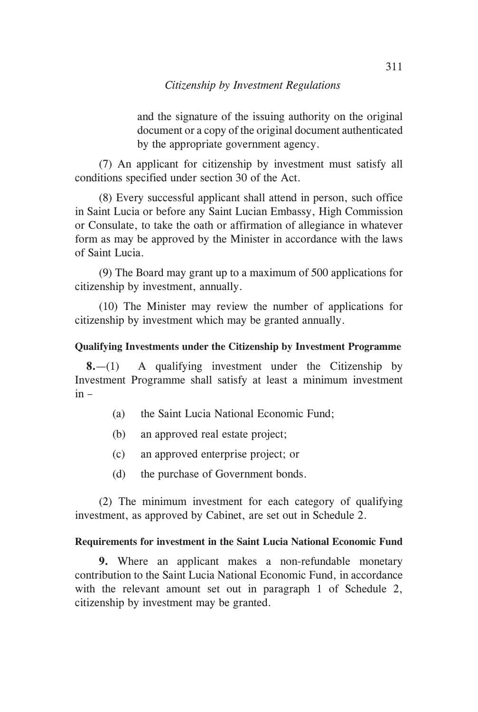and the signature of the issuing authority on the original document or a copy of the original document authenticated by the appropriate government agency.

(7) An applicant for citizenship by investment must satisfy all conditions specified under section 30 of the Act.

(8) Every successful applicant shall attend in person, such office in Saint Lucia or before any Saint Lucian Embassy, High Commission or Consulate, to take the oath or affirmation of allegiance in whatever form as may be approved by the Minister in accordance with the laws of Saint Lucia.

(9) The Board may grant up to a maximum of 500 applications for citizenship by investment, annually.

(10) The Minister may review the number of applications for citizenship by investment which may be granted annually.

# **Qualifying Investments under the Citizenship by Investment Programme**

**8.**—(1) A qualifying investment under the Citizenship by Investment Programme shall satisfy at least a minimum investment in –

- (a) the Saint Lucia National Economic Fund;
- (b) an approved real estate project;
- (c) an approved enterprise project; or
- (d) the purchase of Government bonds.

(2) The minimum investment for each category of qualifying investment, as approved by Cabinet, are set out in Schedule 2.

# **Requirements for investment in the Saint Lucia National Economic Fund**

**9.** Where an applicant makes a non-refundable monetary contribution to the Saint Lucia National Economic Fund, in accordance with the relevant amount set out in paragraph 1 of Schedule 2, citizenship by investment may be granted.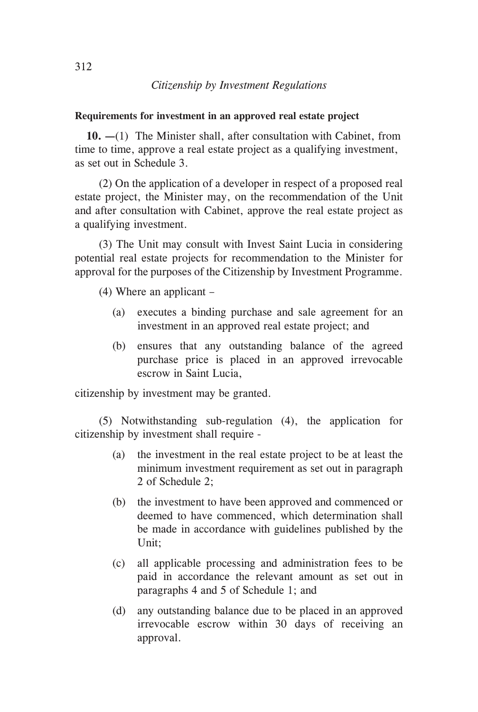### **Requirements for investment in an approved real estate project**

**10. —**(1) The Minister shall, after consultation with Cabinet, from time to time, approve a real estate project as a qualifying investment, as set out in Schedule 3.

(2) On the application of a developer in respect of a proposed real estate project, the Minister may, on the recommendation of the Unit and after consultation with Cabinet, approve the real estate project as a qualifying investment.

(3) The Unit may consult with Invest Saint Lucia in considering potential real estate projects for recommendation to the Minister for approval for the purposes of the Citizenship by Investment Programme.

(4) Where an applicant –

- (a) executes a binding purchase and sale agreement for an investment in an approved real estate project; and
- (b) ensures that any outstanding balance of the agreed purchase price is placed in an approved irrevocable escrow in Saint Lucia,

citizenship by investment may be granted.

(5) Notwithstanding sub-regulation (4), the application for citizenship by investment shall require -

- (a) the investment in the real estate project to be at least the minimum investment requirement as set out in paragraph 2 of Schedule 2;
- (b) the investment to have been approved and commenced or deemed to have commenced, which determination shall be made in accordance with guidelines published by the Unit;
- (c) all applicable processing and administration fees to be paid in accordance the relevant amount as set out in paragraphs 4 and 5 of Schedule 1; and
- (d) any outstanding balance due to be placed in an approved irrevocable escrow within 30 days of receiving an approval.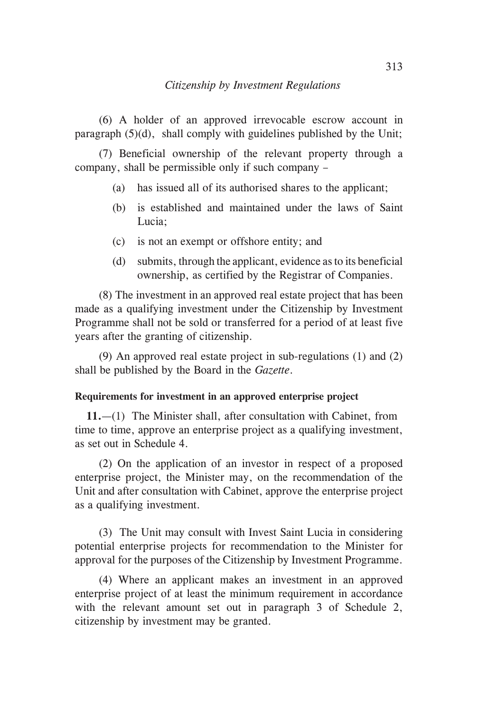(6) A holder of an approved irrevocable escrow account in paragraph (5)(d), shall comply with guidelines published by the Unit;

(7) Beneficial ownership of the relevant property through a company, shall be permissible only if such company –

- (a) has issued all of its authorised shares to the applicant;
- (b) is established and maintained under the laws of Saint Lucia;
- (c) is not an exempt or offshore entity; and
- (d) submits, through the applicant, evidence as to its beneficial ownership, as certified by the Registrar of Companies.

(8) The investment in an approved real estate project that has been made as a qualifying investment under the Citizenship by Investment Programme shall not be sold or transferred for a period of at least five years after the granting of citizenship.

(9) An approved real estate project in sub-regulations (1) and (2) shall be published by the Board in the *Gazette*.

### **Requirements for investment in an approved enterprise project**

**11.**—(1) The Minister shall, after consultation with Cabinet, from time to time, approve an enterprise project as a qualifying investment, as set out in Schedule 4.

(2) On the application of an investor in respect of a proposed enterprise project, the Minister may, on the recommendation of the Unit and after consultation with Cabinet, approve the enterprise project as a qualifying investment.

(3) The Unit may consult with Invest Saint Lucia in considering potential enterprise projects for recommendation to the Minister for approval for the purposes of the Citizenship by Investment Programme.

(4) Where an applicant makes an investment in an approved enterprise project of at least the minimum requirement in accordance with the relevant amount set out in paragraph 3 of Schedule 2, citizenship by investment may be granted.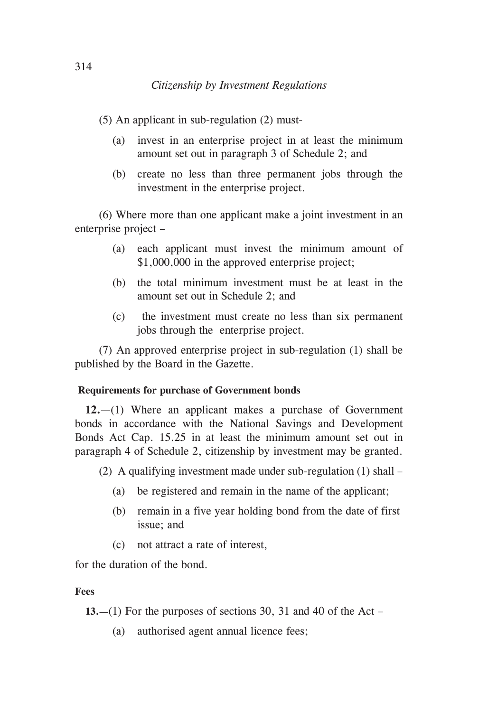(5) An applicant in sub-regulation (2) must-

- (a) invest in an enterprise project in at least the minimum amount set out in paragraph 3 of Schedule 2; and
- (b) create no less than three permanent jobs through the investment in the enterprise project.

(6) Where more than one applicant make a joint investment in an enterprise project –

- (a) each applicant must invest the minimum amount of \$1,000,000 in the approved enterprise project;
- (b) the total minimum investment must be at least in the amount set out in Schedule 2; and
- (c) the investment must create no less than six permanent jobs through the enterprise project.

(7) An approved enterprise project in sub-regulation (1) shall be published by the Board in the Gazette.

## **Requirements for purchase of Government bonds**

**12.**—(1) Where an applicant makes a purchase of Government bonds in accordance with the National Savings and Development Bonds Act Cap. 15.25 in at least the minimum amount set out in paragraph 4 of Schedule 2, citizenship by investment may be granted.

(2) A qualifying investment made under sub-regulation (1) shall –

- (a) be registered and remain in the name of the applicant;
- (b) remain in a five year holding bond from the date of first issue; and
- (c) not attract a rate of interest,

for the duration of the bond.

## **Fees**

**13.—**(1) For the purposes of sections 30, 31 and 40 of the Act –

(a) authorised agent annual licence fees;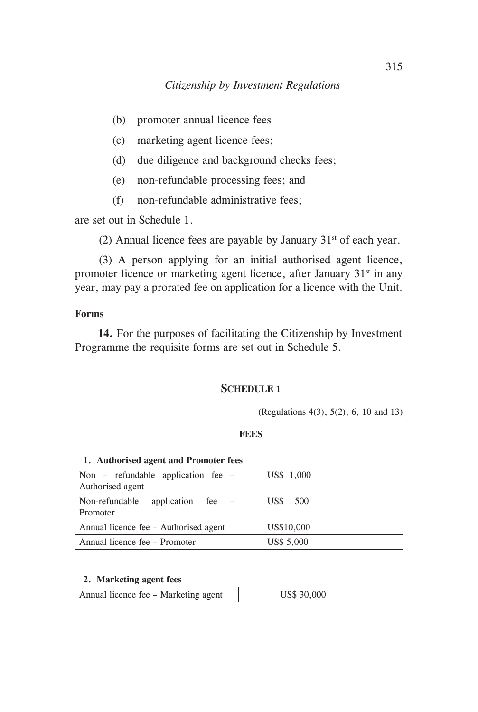- (b) promoter annual licence fees
- (c) marketing agent licence fees;
- (d) due diligence and background checks fees;
- (e) non-refundable processing fees; and
- (f) non-refundable administrative fees;

are set out in Schedule 1.

(2) Annual licence fees are payable by January  $31<sup>st</sup>$  of each year.

(3) A person applying for an initial authorised agent licence, promoter licence or marketing agent licence, after January  $31<sup>st</sup>$  in any year, may pay a prorated fee on application for a licence with the Unit.

# **Forms**

 **14.** For the purposes of facilitating the Citizenship by Investment Programme the requisite forms are set out in Schedule 5.

### **SCHEDULE 1**

(Regulations 4(3), 5(2), 6, 10 and 13)

### **FEES**

| 1. Authorised agent and Promoter fees                  |            |  |
|--------------------------------------------------------|------------|--|
| Non – refundable application fee –<br>Authorised agent | US\$ 1,000 |  |
| Non-refundable<br>application fee<br>Promoter          | US\$ 500   |  |
| Annual licence fee – Authorised agent                  | US\$10,000 |  |
| Annual licence fee – Promoter                          | US\$ 5,000 |  |

| 2. Marketing agent fees              |             |  |
|--------------------------------------|-------------|--|
| Annual licence fee - Marketing agent | US\$ 30,000 |  |
|                                      |             |  |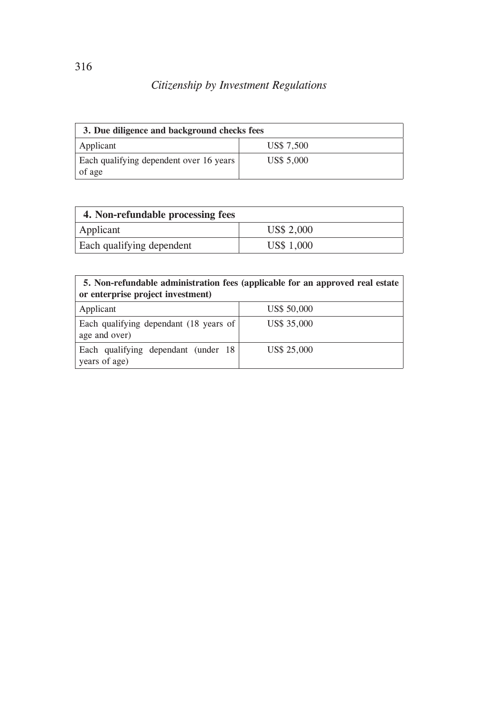| 3. Due diligence and background checks fees       |                   |  |
|---------------------------------------------------|-------------------|--|
| Applicant                                         | US\$ 7,500        |  |
| Each qualifying dependent over 16 years<br>of age | <b>US\$ 5.000</b> |  |

| 4. Non-refundable processing fees |            |  |
|-----------------------------------|------------|--|
| Applicant                         | US\$ 2,000 |  |
| Each qualifying dependent         | US\$ 1,000 |  |

## **5. Non-refundable administration fees (applicable for an approved real estate or enterprise project investment)**

| Applicant                                                          | US\$ 50,000 |
|--------------------------------------------------------------------|-------------|
| Each qualifying dependant $(18 \text{ years of})$<br>age and over) | US\$ 35,000 |
| Each qualifying dependant (under 18<br>years of age)               | US\$ 25,000 |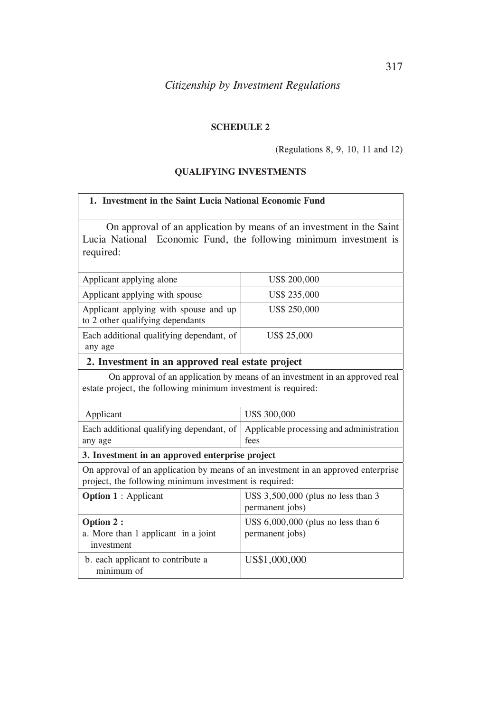### **SCHEDULE 2**

#### (Regulations 8, 9, 10, 11 and 12)

### **QUALIFYING INVESTMENTS**

# **1. Investment in the Saint Lucia National Economic Fund**

On approval of an application by means of an investment in the Saint Lucia National Economic Fund, the following minimum investment is required:

| Applicant applying alone                                                  | US\$ 200,000 |
|---------------------------------------------------------------------------|--------------|
| Applicant applying with spouse                                            | US\$ 235,000 |
| Applicant applying with spouse and up<br>to 2 other qualifying dependants | US\$ 250,000 |
| Each additional qualifying dependant, of                                  | US\$ 25,000  |
| any age                                                                   |              |

# **2. Investment in an approved real estate project**

 On approval of an application by means of an investment in an approved real estate project, the following minimum investment is required:

| Applicant | US\$ 300,000                                                                              |
|-----------|-------------------------------------------------------------------------------------------|
|           | Each additional qualifying dependant, of $\vert$ Applicable processing and administration |
| any age   | fees                                                                                      |

#### **3. Investment in an approved enterprise project**

On approval of an application by means of an investment in an approved enterprise project, the following minimum investment is required:

| <b>Option 1</b> : Applicant                                     | US\$ 3,500,000 (plus no less than 3<br>permanent jobs)   |
|-----------------------------------------------------------------|----------------------------------------------------------|
| Option 2 :<br>a. More than 1 applicant in a joint<br>investment | US\$ $6,000,000$ (plus no less than 6<br>permanent jobs) |
| b. each applicant to contribute a<br>minimum of                 | US\$1,000,000                                            |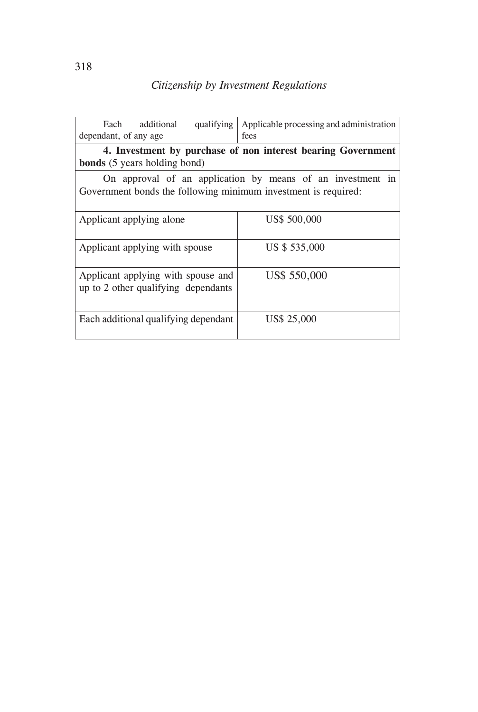| Each additional<br>qualifying<br>dependant, of any age                                                                       | Applicable processing and administration<br>fees |  |
|------------------------------------------------------------------------------------------------------------------------------|--------------------------------------------------|--|
| 4. Investment by purchase of non interest bearing Government<br><b>bonds</b> (5 years holding bond)                          |                                                  |  |
| On approval of an application by means of an investment in<br>Government bonds the following minimum investment is required: |                                                  |  |
| Applicant applying alone                                                                                                     | US\$ 500,000                                     |  |
| Applicant applying with spouse                                                                                               | US \$535,000                                     |  |
| Applicant applying with spouse and<br>up to 2 other qualifying dependants                                                    | US\$ 550,000                                     |  |
| Each additional qualifying dependant                                                                                         | <b>US\$ 25,000</b>                               |  |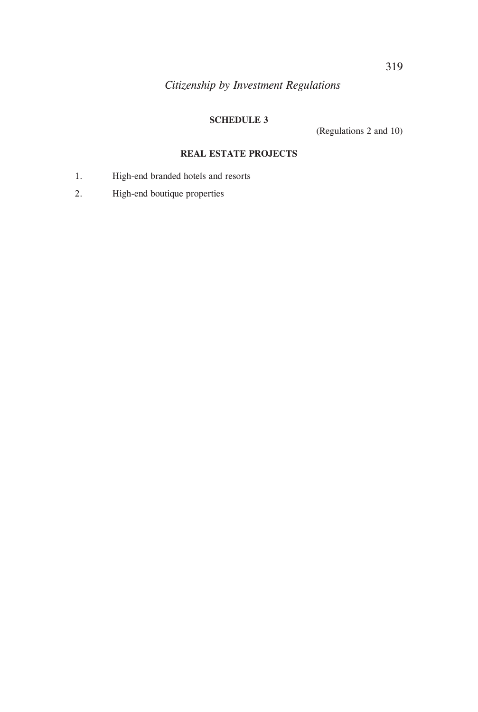# **SCHEDULE 3**

(Regulations 2 and 10)

### **REAL ESTATE PROJECTS**

- 1. High-end branded hotels and resorts
- 2. High-end boutique properties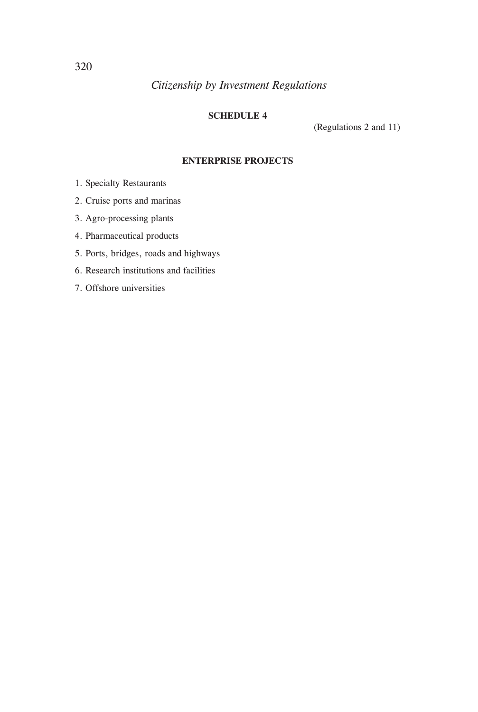# **SCHEDULE 4**

(Regulations 2 and 11)

### **ENTERPRISE PROJECTS**

- 1. Specialty Restaurants
- 2. Cruise ports and marinas
- 3. Agro-processing plants
- 4. Pharmaceutical products
- 5. Ports, bridges, roads and highways
- 6. Research institutions and facilities
- 7. Offshore universities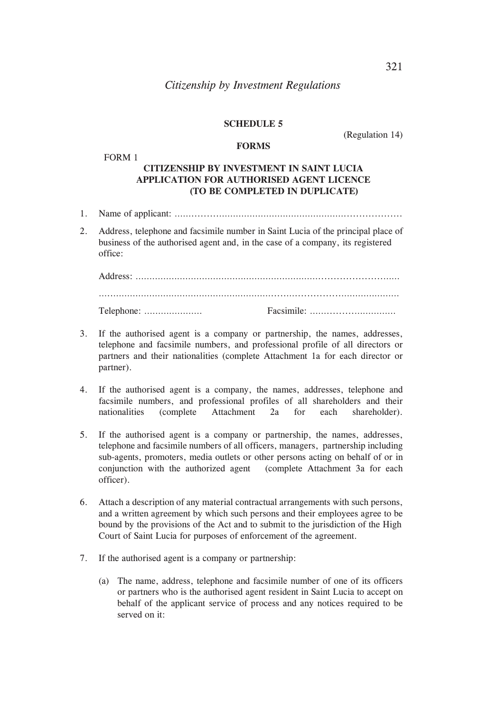### **SCHEDULE 5**

### (Regulation 14)

### **FORMS**

FORM 1

### **CITIZENSHIP BY INVESTMENT IN SAINT LUCIA APPLICATION FOR AUTHORISED AGENT LICENCE (TO BE COMPLETED IN DUPLICATE)**

- 1. Name of applicant: …….........………………………………………...................
- 2. Address, telephone and facsimile number in Saint Lucia of the principal place of business of the authorised agent and, in the case of a company, its registered office:

- 3. If the authorised agent is a company or partnership, the names, addresses, telephone and facsimile numbers, and professional profile of all directors or partners and their nationalities (complete Attachment 1a for each director or partner).
- 4. If the authorised agent is a company, the names, addresses, telephone and facsimile numbers, and professional profiles of all shareholders and their nationalities (complete Attachment 2a for each shareholder).
- 5. If the authorised agent is a company or partnership, the names, addresses, telephone and facsimile numbers of all officers, managers, partnership including sub-agents, promoters, media outlets or other persons acting on behalf of or in conjunction with the authorized agent (complete Attachment 3a for each officer).
- 6. Attach a description of any material contractual arrangements with such persons, and a written agreement by which such persons and their employees agree to be bound by the provisions of the Act and to submit to the jurisdiction of the High Court of Saint Lucia for purposes of enforcement of the agreement.
- 7. If the authorised agent is a company or partnership:
	- (a) The name, address, telephone and facsimile number of one of its officers or partners who is the authorised agent resident in Saint Lucia to accept on behalf of the applicant service of process and any notices required to be served on it: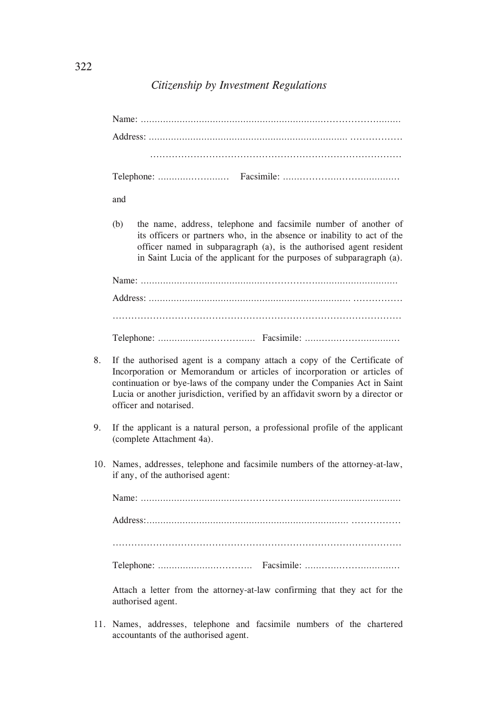|    | and                                                                                                                                                                                                                                                                                                                                         |  |
|----|---------------------------------------------------------------------------------------------------------------------------------------------------------------------------------------------------------------------------------------------------------------------------------------------------------------------------------------------|--|
|    | the name, address, telephone and facsimile number of another of<br>(b)<br>its officers or partners who, in the absence or inability to act of the<br>officer named in subparagraph (a), is the authorised agent resident<br>in Saint Lucia of the applicant for the purposes of subparagraph (a).                                           |  |
|    |                                                                                                                                                                                                                                                                                                                                             |  |
|    |                                                                                                                                                                                                                                                                                                                                             |  |
|    |                                                                                                                                                                                                                                                                                                                                             |  |
|    |                                                                                                                                                                                                                                                                                                                                             |  |
| 8. | If the authorised agent is a company attach a copy of the Certificate of<br>Incorporation or Memorandum or articles of incorporation or articles of<br>continuation or bye-laws of the company under the Companies Act in Saint<br>Lucia or another jurisdiction, verified by an affidavit sworn by a director or<br>officer and notarised. |  |
| 9. | If the applicant is a natural person, a professional profile of the applicant<br>(complete Attachment 4a).                                                                                                                                                                                                                                  |  |
|    | 10. Names, addresses, telephone and facsimile numbers of the attorney-at-law,<br>if any, of the authorised agent:                                                                                                                                                                                                                           |  |
|    |                                                                                                                                                                                                                                                                                                                                             |  |
|    |                                                                                                                                                                                                                                                                                                                                             |  |
|    |                                                                                                                                                                                                                                                                                                                                             |  |
|    |                                                                                                                                                                                                                                                                                                                                             |  |
|    | Attach a letter from the attorney-at-law confirming that they act for the<br>authorised agent.                                                                                                                                                                                                                                              |  |

11. Names, addresses, telephone and facsimile numbers of the chartered accountants of the authorised agent.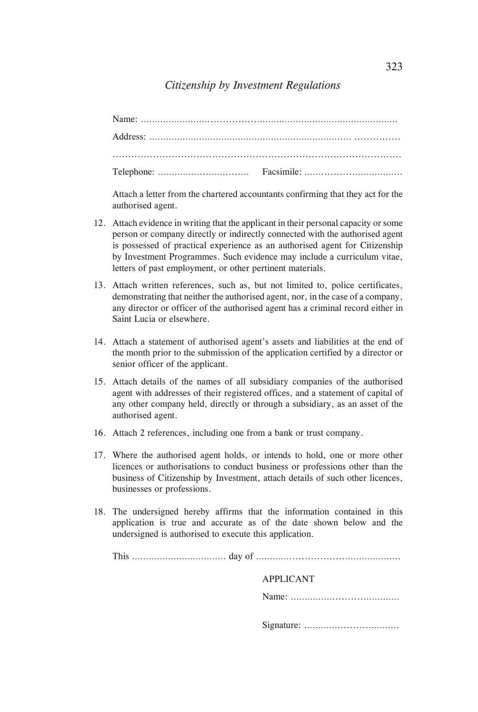Attach a letter from the chartered accountants confirming that they act for the authorised agent.

- 12. Attach evidence in writing that the applicant in their personal capacity or some person or company directly or indirectly connected with the authorised agent is possessed of practical experience as an authorised agent for Citizenship by Investment Programmes. Such evidence may include a curriculum vitae, letters of past employment, or other pertinent materials.
- 13. Attach written references, such as, but not limited to, police certificates, demonstrating that neither the authorised agent, nor, in the case of a company, any director or officer of the authorised agent has a criminal record either in Saint Lucia or elsewhere.
- 14. Attach a statement of authorised agent's assets and liabilities at the end of the month prior to the submission of the application certified by a director or senior officer of the applicant.
- 15. Attach details of the names of all subsidiary companies of the authorised agent with addresses of their registered offices, and a statement of capital of any other company held, directly or through a subsidiary, as an asset of the authorised agent.
- 16. Attach 2 references, including one from a bank or trust company.
- 17. Where the authorised agent holds, or intends to hold, one or more other licences or authorisations to conduct business or professions other than the business of Citizenship by Investment, attach details of such other licences, businesses or professions.
- 18. The undersigned hereby affirms that the information contained in this application is true and accurate as of the date shown below and the undersigned is authorised to execute this application.

This ……………………………. day of …………..................………………..

| <b>APPLICANT</b> |
|------------------|
|                  |
|                  |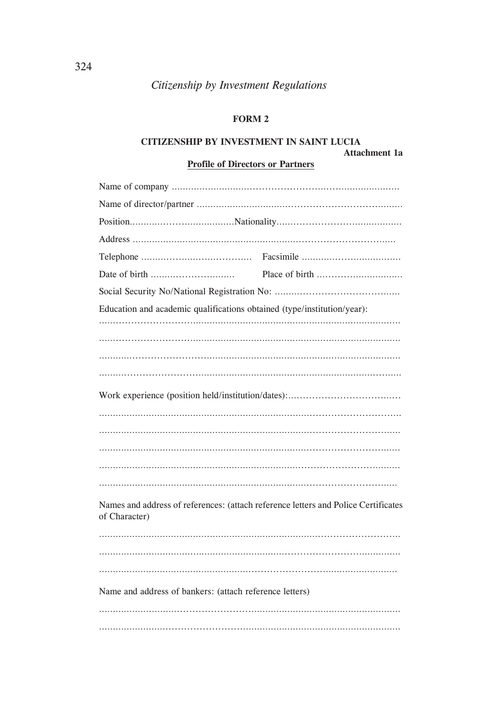# **FORM 2**

### **CITIZENSHIP BY INVESTMENT IN SAINT LUCIA**

**Attachment 1a**

# **Profile of Directors or Partners**

| Education and academic qualifications obtained (type/institution/year):            |  |  |
|------------------------------------------------------------------------------------|--|--|
|                                                                                    |  |  |
|                                                                                    |  |  |
|                                                                                    |  |  |
|                                                                                    |  |  |
|                                                                                    |  |  |
|                                                                                    |  |  |
|                                                                                    |  |  |
|                                                                                    |  |  |
|                                                                                    |  |  |
|                                                                                    |  |  |
| Names and address of references: (attach reference letters and Police Certificates |  |  |
| of Character)                                                                      |  |  |
|                                                                                    |  |  |
|                                                                                    |  |  |
|                                                                                    |  |  |
|                                                                                    |  |  |
| Name and address of bankers: (attach reference letters)                            |  |  |
|                                                                                    |  |  |
|                                                                                    |  |  |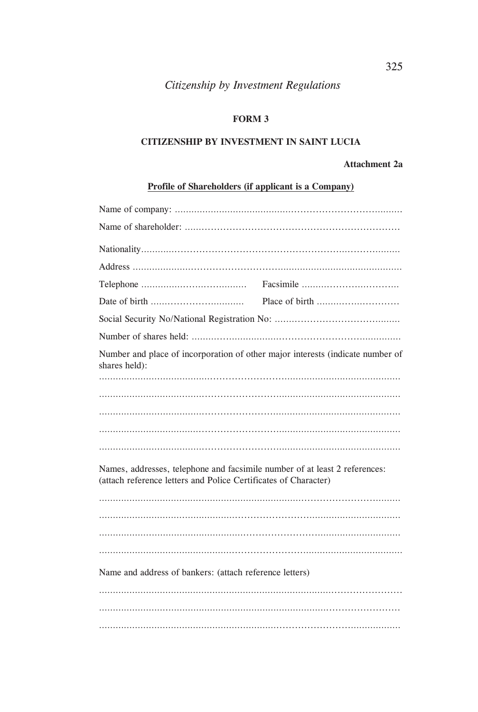# **FORM 3**

### **CITIZENSHIP BY INVESTMENT IN SAINT LUCIA**

# **Attachment 2a**

# **Profile of Shareholders (if applicant is a Company)**

| shares held):                                                                                                                                 | Number and place of incorporation of other major interests (indicate number of |  |  |
|-----------------------------------------------------------------------------------------------------------------------------------------------|--------------------------------------------------------------------------------|--|--|
|                                                                                                                                               |                                                                                |  |  |
|                                                                                                                                               |                                                                                |  |  |
|                                                                                                                                               |                                                                                |  |  |
|                                                                                                                                               |                                                                                |  |  |
|                                                                                                                                               |                                                                                |  |  |
| Names, addresses, telephone and facsimile number of at least 2 references:<br>(attach reference letters and Police Certificates of Character) |                                                                                |  |  |
|                                                                                                                                               |                                                                                |  |  |
|                                                                                                                                               |                                                                                |  |  |
|                                                                                                                                               |                                                                                |  |  |
|                                                                                                                                               |                                                                                |  |  |
| Name and address of bankers: (attach reference letters)                                                                                       |                                                                                |  |  |
|                                                                                                                                               |                                                                                |  |  |
|                                                                                                                                               |                                                                                |  |  |
|                                                                                                                                               |                                                                                |  |  |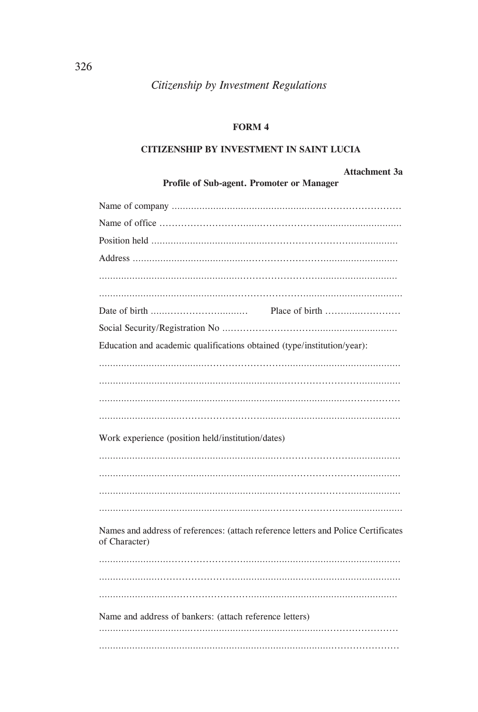# FORM 4

# CITIZENSHIP BY INVESTMENT IN SAINT LUCIA

#### Attachment 3a

| Place of birth                                                                     |  |
|------------------------------------------------------------------------------------|--|
|                                                                                    |  |
| Education and academic qualifications obtained (type/institution/year):            |  |
|                                                                                    |  |
|                                                                                    |  |
|                                                                                    |  |
|                                                                                    |  |
|                                                                                    |  |
| Work experience (position held/institution/dates)                                  |  |
|                                                                                    |  |
|                                                                                    |  |
|                                                                                    |  |
|                                                                                    |  |
| Names and address of references: (attach reference letters and Police Certificates |  |
| of Character)                                                                      |  |
|                                                                                    |  |
|                                                                                    |  |
|                                                                                    |  |
| Name and address of bankers: (attach reference letters)                            |  |
|                                                                                    |  |
|                                                                                    |  |

Profile of Sub-agent. Promoter or Manager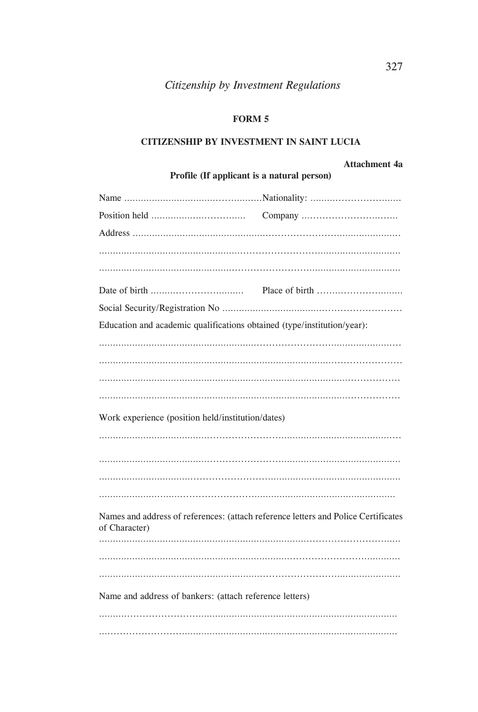# **FORM 5**

### **CITIZENSHIP BY INVESTMENT IN SAINT LUCIA**

# **Attachment 4a**

| Profile (If applicant is a natural person)                                                          |  |  |
|-----------------------------------------------------------------------------------------------------|--|--|
|                                                                                                     |  |  |
|                                                                                                     |  |  |
|                                                                                                     |  |  |
|                                                                                                     |  |  |
|                                                                                                     |  |  |
|                                                                                                     |  |  |
|                                                                                                     |  |  |
| Education and academic qualifications obtained (type/institution/year):                             |  |  |
|                                                                                                     |  |  |
|                                                                                                     |  |  |
|                                                                                                     |  |  |
|                                                                                                     |  |  |
| Work experience (position held/institution/dates)                                                   |  |  |
|                                                                                                     |  |  |
|                                                                                                     |  |  |
|                                                                                                     |  |  |
|                                                                                                     |  |  |
| Names and address of references: (attach reference letters and Police Certificates<br>of Character) |  |  |
|                                                                                                     |  |  |
|                                                                                                     |  |  |
|                                                                                                     |  |  |
| Name and address of bankers: (attach reference letters)                                             |  |  |
|                                                                                                     |  |  |
|                                                                                                     |  |  |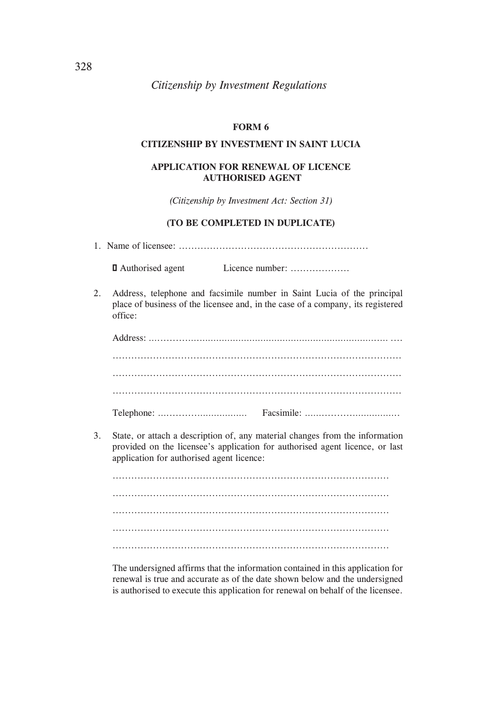### **FORM 6**

### **CITIZENSHIP BY INVESTMENT IN SAINT LUCIA**

### **APPLICATION FOR RENEWAL OF LICENCE AUTHORISED AGENT**

*(Citizenship by Investment Act: Section 31)*

#### **(TO BE COMPLETED IN DUPLICATE)**

1. Name of licensee: .............................................................

 □ Authorised agent Licence number: ...................

2. Address, telephone and facsimile number in Saint Lucia of the principal place of business of the licensee and, in the case of a company, its registered office:

3. State, or attach a description of, any material changes from the information provided on the licensee's application for authorised agent licence, or last application for authorised agent licence:

......................................................................................... ......................................................................................... ......................................................................................... ......................................................................................... .........................................................................................

 The undersigned affirms that the information contained in this application for renewal is true and accurate as of the date shown below and the undersigned is authorised to execute this application for renewal on behalf of the licensee.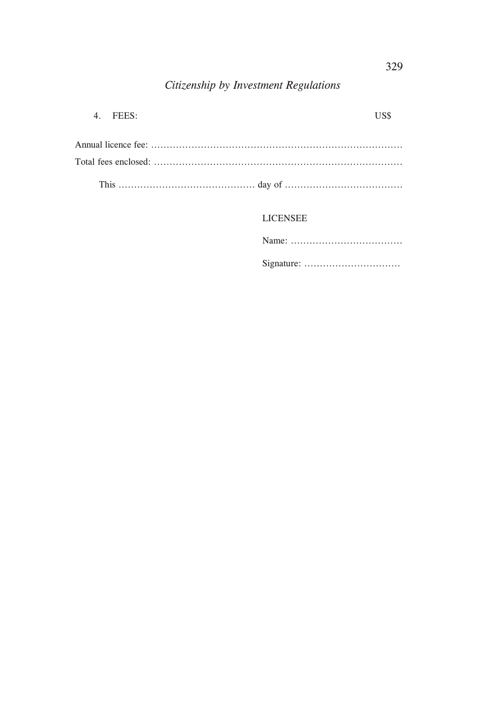| 4. FEES $\cdot$ | <b>TISS</b> |
|-----------------|-------------|
|                 |             |
|                 |             |
|                 |             |

**LICENSEE**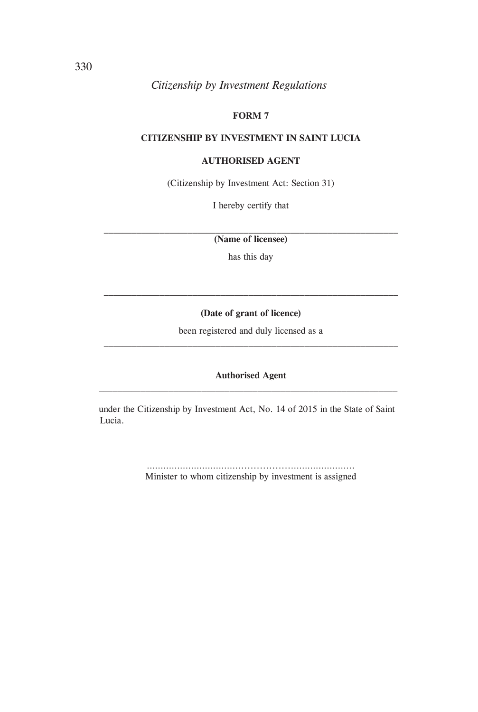# **FORM 7**

### **CITIZENSHIP BY INVESTMENT IN SAINT LUCIA**

### **AUTHORISED AGENT**

(Citizenship by Investment Act: Section 31)

I hereby certify that

 $\mathcal{L}_\text{max} = \mathcal{L}_\text{max} = \mathcal{L}_\text{max} = \mathcal{L}_\text{max} = \mathcal{L}_\text{max} = \mathcal{L}_\text{max} = \mathcal{L}_\text{max} = \mathcal{L}_\text{max} = \mathcal{L}_\text{max} = \mathcal{L}_\text{max} = \mathcal{L}_\text{max} = \mathcal{L}_\text{max} = \mathcal{L}_\text{max} = \mathcal{L}_\text{max} = \mathcal{L}_\text{max} = \mathcal{L}_\text{max} = \mathcal{L}_\text{max} = \mathcal{L}_\text{max} = \mathcal{$ **(Name of licensee)**

has this day

#### **(Date of grant of licence)**

 $\mathcal{L}_\text{max} = \mathcal{L}_\text{max} = \mathcal{L}_\text{max} = \mathcal{L}_\text{max} = \mathcal{L}_\text{max} = \mathcal{L}_\text{max} = \mathcal{L}_\text{max} = \mathcal{L}_\text{max} = \mathcal{L}_\text{max} = \mathcal{L}_\text{max} = \mathcal{L}_\text{max} = \mathcal{L}_\text{max} = \mathcal{L}_\text{max} = \mathcal{L}_\text{max} = \mathcal{L}_\text{max} = \mathcal{L}_\text{max} = \mathcal{L}_\text{max} = \mathcal{L}_\text{max} = \mathcal{$ 

been registered and duly licensed as a

### **Authorised Agent**  $\mathcal{L}_\text{max}$  and the set of the set of the set of the set of the set of the set of the set of the set of the set of

under the Citizenship by Investment Act, No. 14 of 2015 in the State of Saint Lucia.

> …………………………….................………………….. Minister to whom citizenship by investment is assigned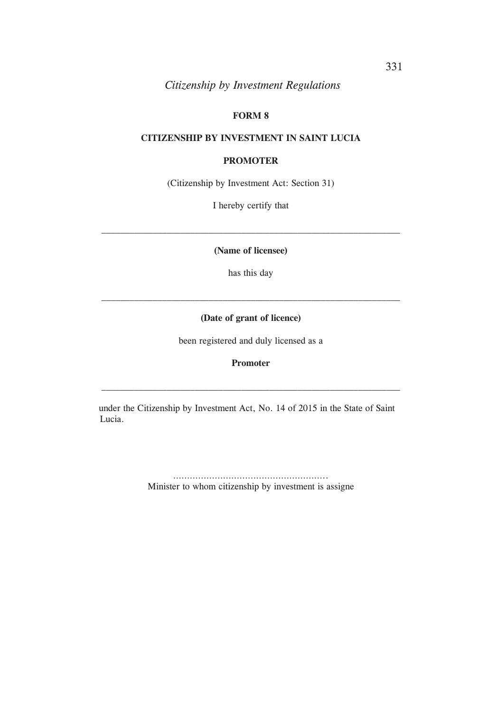# **FORM 8**

### **CITIZENSHIP BY INVESTMENT IN SAINT LUCIA**

### **PROMOTER**

(Citizenship by Investment Act: Section 31)

I hereby certify that

**(Name of licensee)**

 $\mathcal{L}_\text{max} = \mathcal{L}_\text{max} = \mathcal{L}_\text{max} = \mathcal{L}_\text{max} = \mathcal{L}_\text{max} = \mathcal{L}_\text{max} = \mathcal{L}_\text{max} = \mathcal{L}_\text{max} = \mathcal{L}_\text{max} = \mathcal{L}_\text{max} = \mathcal{L}_\text{max} = \mathcal{L}_\text{max} = \mathcal{L}_\text{max} = \mathcal{L}_\text{max} = \mathcal{L}_\text{max} = \mathcal{L}_\text{max} = \mathcal{L}_\text{max} = \mathcal{L}_\text{max} = \mathcal{$ 

has this day

### **(Date of grant of licence)**

been registered and duly licensed as a

#### **Promoter**

under the Citizenship by Investment Act, No. 14 of 2015 in the State of Saint Lucia.

> ……………………………………………………… Minister to whom citizenship by investment is assigne